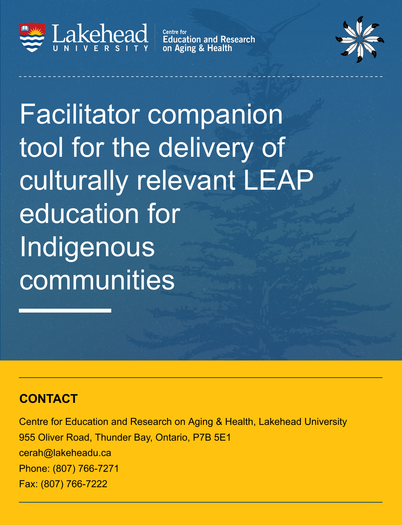

**Centre for**<br>**Education and Research**<br>on Aging & Health



Facilitator companion tool for the delivery of culturally relevant LEAP education for Indigenous communities

#### **CONTACT**

Centre for Education and Research on Aging & Health, Lakehead University 955 Oliver Road, Thunder Bay, Ontario, P7B 5E1 cerah@lakeheadu.ca Phone: (807) 766-7271 Fax: (807) 766-7222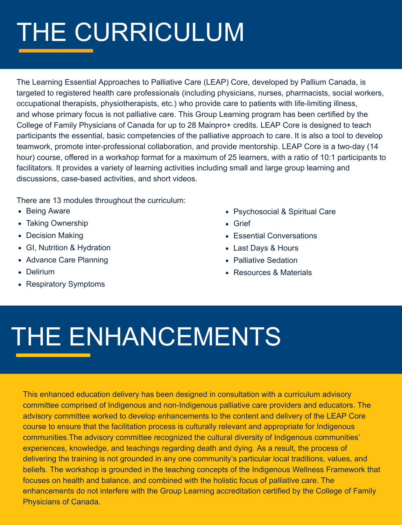# THE CURRICULUM

The Learning Essential Approaches to Palliative Care (LEAP) Core, developed by Pallium Canada, is targeted to registered health care professionals (including physicians, nurses, pharmacists, social workers, occupational therapists, physiotherapists, etc.) who provide care to patients with life-limiting illness, and whose primary focus is not palliative care. This Group Learning program has been certified by the College of Family Physicians of Canada for up to 28 Mainpro+ credits. LEAP Core is designed to teach participants the essential, basic competencies of the palliative approach to care. It is also a tool to develop teamwork, promote inter-professional collaboration, and provide mentorship. LEAP Core is a two-day (14 hour) course, offered in a workshop format for a maximum of 25 learners, with a ratio of 10:1 participants to facilitators. It provides a variety of learning activities including small and large group learning and discussions, case-based activities, and short videos.

There are 13 modules throughout the curriculum:

- Being Aware
- Taking Ownership
- Decision Making
- GI, Nutrition & Hydration
- Advance Care Planning
- Delirium
- Respiratory Symptoms
- Psychosocial & Spiritual Care
- Grief
- Essential Conversations
- Last Days & Hours
- Palliative Sedation
- Resources & Materials

# THE ENHANCEMENTS

This enhanced education delivery has been designed in consultation with a curriculum advisory committee comprised of Indigenous and non-Indigenous palliative care providers and educators. The advisory committee worked to develop enhancements to the content and delivery of the LEAP Core course to ensure that the facilitation process is culturally relevant and appropriate for Indigenous communities.The advisory committee recognized the cultural diversity of Indigenous communities' experiences, knowledge, and teachings regarding death and dying. As a result, the process of delivering the training is not grounded in any one community's particular local traditions, values, and beliefs. The workshop is grounded in the teaching concepts of the Indigenous Wellness Framework that focuses on health and balance, and combined with the holistic focus of palliative care. The enhancements do not interfere with the Group Learning accreditation certified by the College of Family Physicians of Canada.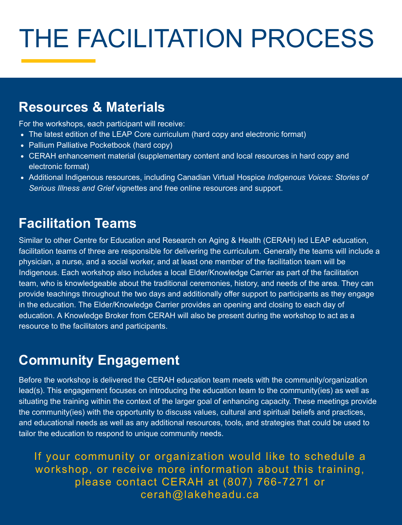## THE FACILITATION PROCESS

### **Resources & Materials**

For the workshops, each participant will receive:

- The latest edition of the LEAP Core curriculum (hard copy and electronic format)
- Pallium Palliative Pocketbook (hard copy)
- CERAH enhancement material (supplementary content and local resources in hard copy and electronic format)
- Additional Indigenous resources, including Canadian Virtual Hospice *Indigenous Voices: Stories of Serious Illness and Grief* vignettes and free online resources and support.

### **Facilitation Teams**

Similar to other Centre for Education and Research on Aging & Health (CERAH) led LEAP education, facilitation teams of three are responsible for delivering the curriculum. Generally the teams will include a physician, a nurse, and a social worker, and at least one member of the facilitation team will be Indigenous. Each workshop also includes a local Elder/Knowledge Carrier as part of the facilitation team, who is knowledgeable about the traditional ceremonies, history, and needs of the area. They can provide teachings throughout the two days and additionally offer support to participants as they engage in the education. The Elder/Knowledge Carrier provides an opening and closing to each day of education. A Knowledge Broker from CERAH will also be present during the workshop to act as a resource to the facilitators and participants.

### **Community Engagement**

Before the workshop is delivered the CERAH education team meets with the community/organization lead(s). This engagement focuses on introducing the education team to the community(ies) as well as situating the training within the context of the larger goal of enhancing capacity. These meetings provide the community(ies) with the opportunity to discuss values, cultural and spiritual beliefs and practices, and educational needs as well as any additional resources, tools, and strategies that could be used to tailor the education to respond to unique community needs.

If your community or organization would like to schedule a workshop, or receive more information about this training, please contact CERAH at (807) 766-7271 or cerah@lakeheadu.ca